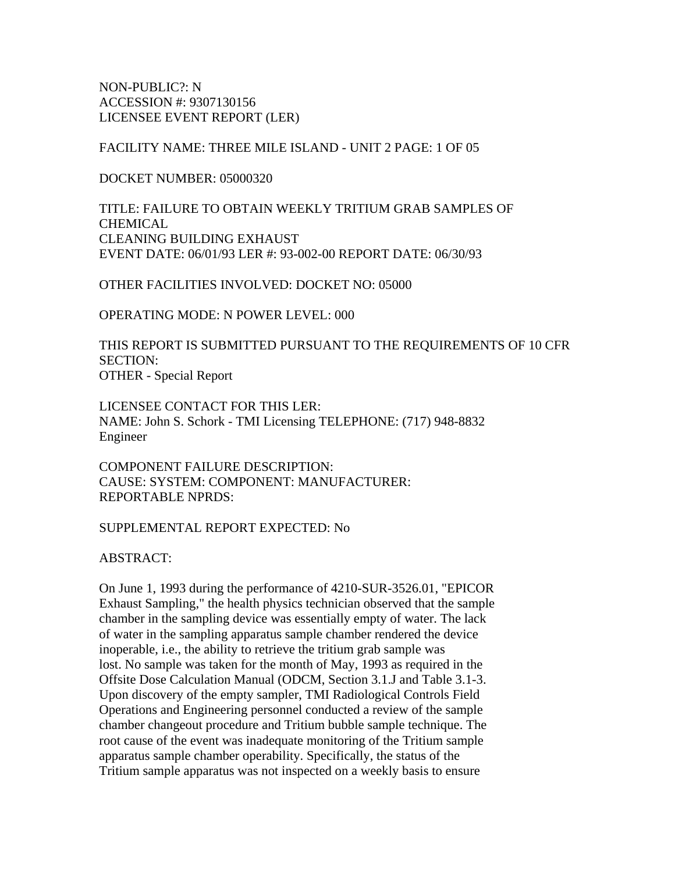NON-PUBLIC?: N ACCESSION #: 9307130156 LICENSEE EVENT REPORT (LER)

FACILITY NAME: THREE MILE ISLAND - UNIT 2 PAGE: 1 OF 05

DOCKET NUMBER: 05000320

TITLE: FAILURE TO OBTAIN WEEKLY TRITIUM GRAB SAMPLES OF **CHEMICAL** CLEANING BUILDING EXHAUST EVENT DATE: 06/01/93 LER #: 93-002-00 REPORT DATE: 06/30/93

OTHER FACILITIES INVOLVED: DOCKET NO: 05000

OPERATING MODE: N POWER LEVEL: 000

THIS REPORT IS SUBMITTED PURSUANT TO THE REQUIREMENTS OF 10 CFR SECTION: OTHER - Special Report

LICENSEE CONTACT FOR THIS LER: NAME: John S. Schork - TMI Licensing TELEPHONE: (717) 948-8832 Engineer

COMPONENT FAILURE DESCRIPTION: CAUSE: SYSTEM: COMPONENT: MANUFACTURER: REPORTABLE NPRDS:

#### SUPPLEMENTAL REPORT EXPECTED: No

ABSTRACT:

On June 1, 1993 during the performance of 4210-SUR-3526.01, "EPICOR Exhaust Sampling," the health physics technician observed that the sample chamber in the sampling device was essentially empty of water. The lack of water in the sampling apparatus sample chamber rendered the device inoperable, i.e., the ability to retrieve the tritium grab sample was lost. No sample was taken for the month of May, 1993 as required in the Offsite Dose Calculation Manual (ODCM, Section 3.1.J and Table 3.1-3. Upon discovery of the empty sampler, TMI Radiological Controls Field Operations and Engineering personnel conducted a review of the sample chamber changeout procedure and Tritium bubble sample technique. The root cause of the event was inadequate monitoring of the Tritium sample apparatus sample chamber operability. Specifically, the status of the Tritium sample apparatus was not inspected on a weekly basis to ensure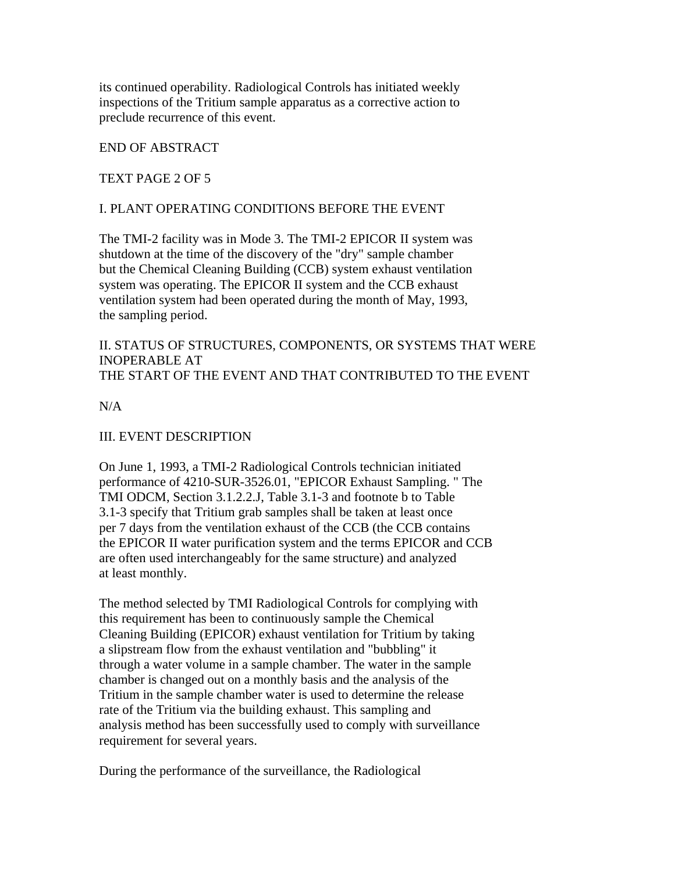its continued operability. Radiological Controls has initiated weekly inspections of the Tritium sample apparatus as a corrective action to preclude recurrence of this event.

## END OF ABSTRACT

### TEXT PAGE 2 OF 5

### I. PLANT OPERATING CONDITIONS BEFORE THE EVENT

The TMI-2 facility was in Mode 3. The TMI-2 EPICOR II system was shutdown at the time of the discovery of the "dry" sample chamber but the Chemical Cleaning Building (CCB) system exhaust ventilation system was operating. The EPICOR II system and the CCB exhaust ventilation system had been operated during the month of May, 1993, the sampling period.

II. STATUS OF STRUCTURES, COMPONENTS, OR SYSTEMS THAT WERE INOPERABLE AT THE START OF THE EVENT AND THAT CONTRIBUTED TO THE EVENT

 $N/A$ 

#### III. EVENT DESCRIPTION

On June 1, 1993, a TMI-2 Radiological Controls technician initiated performance of 4210-SUR-3526.01, "EPICOR Exhaust Sampling. " The TMI ODCM, Section 3.1.2.2.J, Table 3.1-3 and footnote b to Table 3.1-3 specify that Tritium grab samples shall be taken at least once per 7 days from the ventilation exhaust of the CCB (the CCB contains the EPICOR II water purification system and the terms EPICOR and CCB are often used interchangeably for the same structure) and analyzed at least monthly.

The method selected by TMI Radiological Controls for complying with this requirement has been to continuously sample the Chemical Cleaning Building (EPICOR) exhaust ventilation for Tritium by taking a slipstream flow from the exhaust ventilation and "bubbling" it through a water volume in a sample chamber. The water in the sample chamber is changed out on a monthly basis and the analysis of the Tritium in the sample chamber water is used to determine the release rate of the Tritium via the building exhaust. This sampling and analysis method has been successfully used to comply with surveillance requirement for several years.

During the performance of the surveillance, the Radiological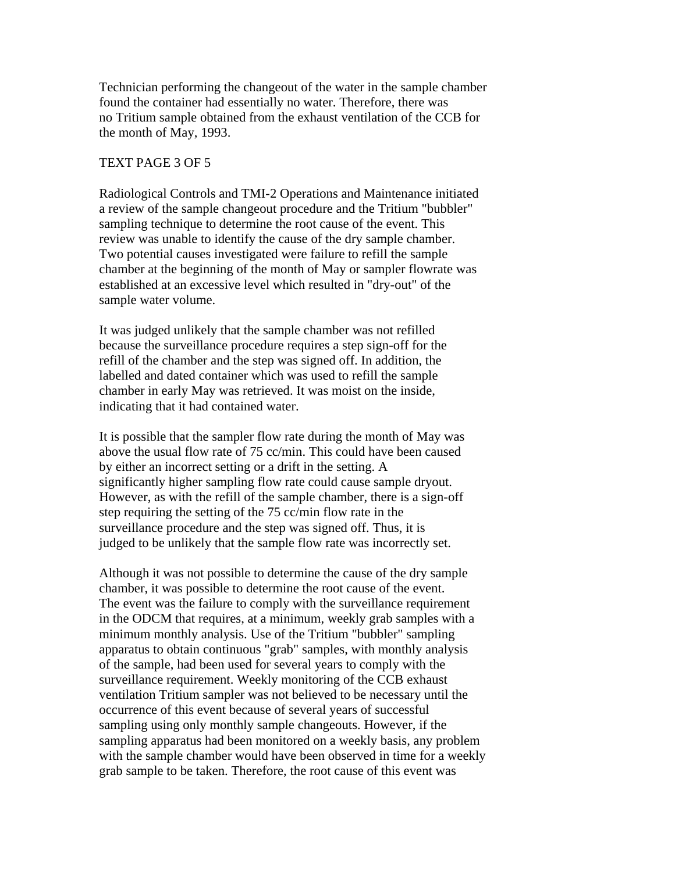Technician performing the changeout of the water in the sample chamber found the container had essentially no water. Therefore, there was no Tritium sample obtained from the exhaust ventilation of the CCB for the month of May, 1993.

#### TEXT PAGE 3 OF 5

Radiological Controls and TMI-2 Operations and Maintenance initiated a review of the sample changeout procedure and the Tritium "bubbler" sampling technique to determine the root cause of the event. This review was unable to identify the cause of the dry sample chamber. Two potential causes investigated were failure to refill the sample chamber at the beginning of the month of May or sampler flowrate was established at an excessive level which resulted in "dry-out" of the sample water volume.

It was judged unlikely that the sample chamber was not refilled because the surveillance procedure requires a step sign-off for the refill of the chamber and the step was signed off. In addition, the labelled and dated container which was used to refill the sample chamber in early May was retrieved. It was moist on the inside, indicating that it had contained water.

It is possible that the sampler flow rate during the month of May was above the usual flow rate of 75 cc/min. This could have been caused by either an incorrect setting or a drift in the setting. A significantly higher sampling flow rate could cause sample dryout. However, as with the refill of the sample chamber, there is a sign-off step requiring the setting of the 75 cc/min flow rate in the surveillance procedure and the step was signed off. Thus, it is judged to be unlikely that the sample flow rate was incorrectly set.

Although it was not possible to determine the cause of the dry sample chamber, it was possible to determine the root cause of the event. The event was the failure to comply with the surveillance requirement in the ODCM that requires, at a minimum, weekly grab samples with a minimum monthly analysis. Use of the Tritium "bubbler" sampling apparatus to obtain continuous "grab" samples, with monthly analysis of the sample, had been used for several years to comply with the surveillance requirement. Weekly monitoring of the CCB exhaust ventilation Tritium sampler was not believed to be necessary until the occurrence of this event because of several years of successful sampling using only monthly sample changeouts. However, if the sampling apparatus had been monitored on a weekly basis, any problem with the sample chamber would have been observed in time for a weekly grab sample to be taken. Therefore, the root cause of this event was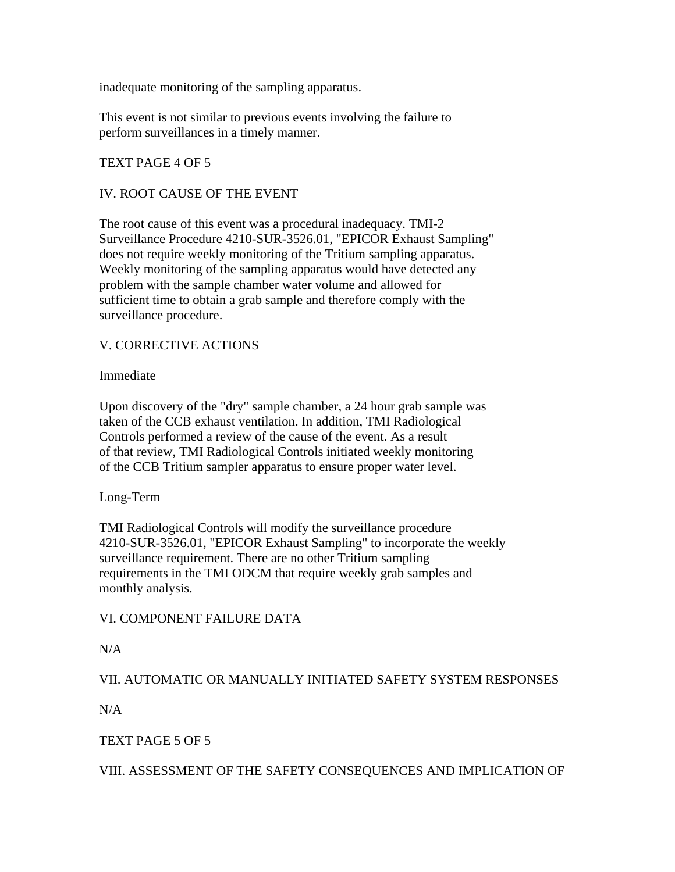inadequate monitoring of the sampling apparatus.

This event is not similar to previous events involving the failure to perform surveillances in a timely manner.

# TEXT PAGE 4 OF 5

## IV. ROOT CAUSE OF THE EVENT

The root cause of this event was a procedural inadequacy. TMI-2 Surveillance Procedure 4210-SUR-3526.01, "EPICOR Exhaust Sampling" does not require weekly monitoring of the Tritium sampling apparatus. Weekly monitoring of the sampling apparatus would have detected any problem with the sample chamber water volume and allowed for sufficient time to obtain a grab sample and therefore comply with the surveillance procedure.

## V. CORRECTIVE ACTIONS

Immediate

Upon discovery of the "dry" sample chamber, a 24 hour grab sample was taken of the CCB exhaust ventilation. In addition, TMI Radiological Controls performed a review of the cause of the event. As a result of that review, TMI Radiological Controls initiated weekly monitoring of the CCB Tritium sampler apparatus to ensure proper water level.

Long-Term

TMI Radiological Controls will modify the surveillance procedure 4210-SUR-3526.01, "EPICOR Exhaust Sampling" to incorporate the weekly surveillance requirement. There are no other Tritium sampling requirements in the TMI ODCM that require weekly grab samples and monthly analysis.

# VI. COMPONENT FAILURE DATA

 $N/A$ 

VII. AUTOMATIC OR MANUALLY INITIATED SAFETY SYSTEM RESPONSES

 $N/A$ 

# TEXT PAGE 5 OF 5

VIII. ASSESSMENT OF THE SAFETY CONSEQUENCES AND IMPLICATION OF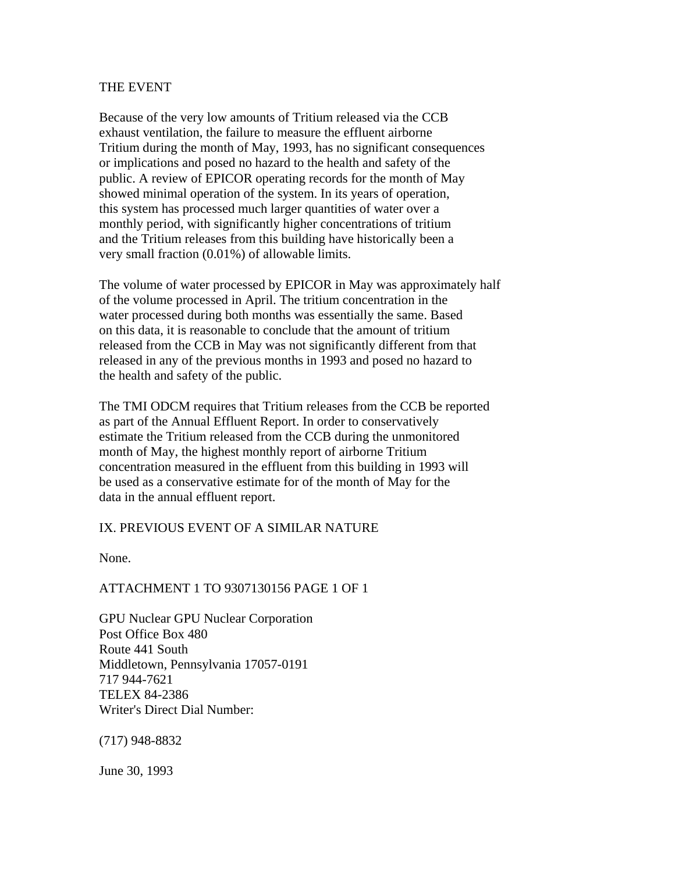#### THE EVENT

Because of the very low amounts of Tritium released via the CCB exhaust ventilation, the failure to measure the effluent airborne Tritium during the month of May, 1993, has no significant consequences or implications and posed no hazard to the health and safety of the public. A review of EPICOR operating records for the month of May showed minimal operation of the system. In its years of operation, this system has processed much larger quantities of water over a monthly period, with significantly higher concentrations of tritium and the Tritium releases from this building have historically been a very small fraction (0.01%) of allowable limits.

The volume of water processed by EPICOR in May was approximately half of the volume processed in April. The tritium concentration in the water processed during both months was essentially the same. Based on this data, it is reasonable to conclude that the amount of tritium released from the CCB in May was not significantly different from that released in any of the previous months in 1993 and posed no hazard to the health and safety of the public.

The TMI ODCM requires that Tritium releases from the CCB be reported as part of the Annual Effluent Report. In order to conservatively estimate the Tritium released from the CCB during the unmonitored month of May, the highest monthly report of airborne Tritium concentration measured in the effluent from this building in 1993 will be used as a conservative estimate for of the month of May for the data in the annual effluent report.

#### IX. PREVIOUS EVENT OF A SIMILAR NATURE

None.

#### ATTACHMENT 1 TO 9307130156 PAGE 1 OF 1

GPU Nuclear GPU Nuclear Corporation Post Office Box 480 Route 441 South Middletown, Pennsylvania 17057-0191 717 944-7621 TELEX 84-2386 Writer's Direct Dial Number:

(717) 948-8832

June 30, 1993